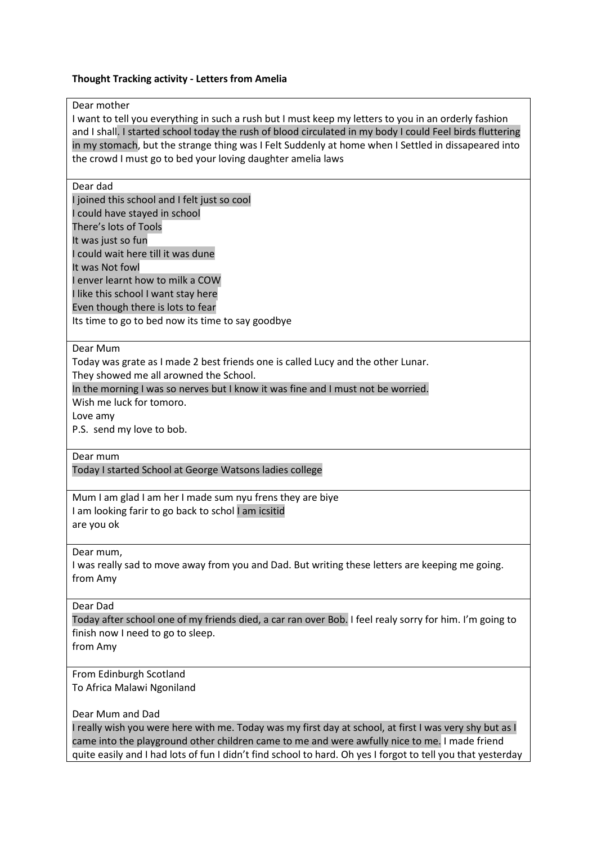### **Thought Tracking activity - Letters from Amelia**

### Dear mother

I want to tell you everything in such a rush but I must keep my letters to you in an orderly fashion and I shall. I started school today the rush of blood circulated in my body I could Feel birds fluttering in my stomach, but the strange thing was I Felt Suddenly at home when I Settled in dissapeared into the crowd I must go to bed your loving daughter amelia laws

### Dear dad

I joined this school and I felt just so cool I could have stayed in school There's lots of Tools It was just so fun I could wait here till it was dune It was Not fowl I enver learnt how to milk a COW I like this school I want stay here Even though there is lots to fear Its time to go to bed now its time to say goodbye

### Dear Mum

Today was grate as I made 2 best friends one is called Lucy and the other Lunar. They showed me all arowned the School.

In the morning I was so nerves but I know it was fine and I must not be worried.

Wish me luck for tomoro.

Love amy

P.S. send my love to bob.

#### Dear mum

Today I started School at George Watsons ladies college

Mum I am glad I am her I made sum nyu frens they are biye I am looking farir to go back to schol I am icsitid are you ok

#### Dear mum,

I was really sad to move away from you and Dad. But writing these letters are keeping me going. from Amy

#### Dear Dad

Today after school one of my friends died, a car ran over Bob. I feel realy sorry for him. I'm going to finish now I need to go to sleep.

from Amy

# From Edinburgh Scotland

To Africa Malawi Ngoniland

### Dear Mum and Dad

I really wish you were here with me. Today was my first day at school, at first I was very shy but as I came into the playground other children came to me and were awfully nice to me. I made friend quite easily and I had lots of fun I didn't find school to hard. Oh yes I forgot to tell you that yesterday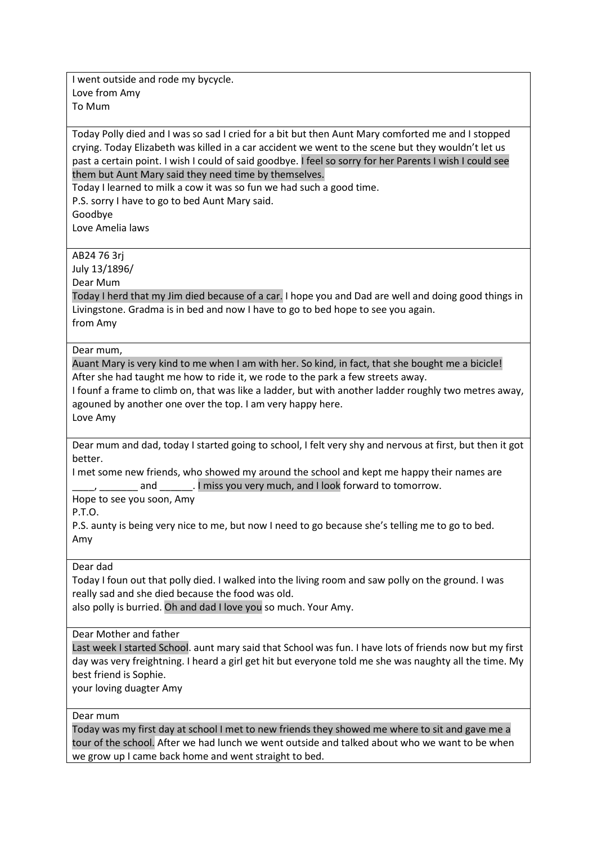I went outside and rode my bycycle. Love from Amy To Mum

Today Polly died and I was so sad I cried for a bit but then Aunt Mary comforted me and I stopped crying. Today Elizabeth was killed in a car accident we went to the scene but they wouldn't let us past a certain point. I wish I could of said goodbye. I feel so sorry for her Parents I wish I could see them but Aunt Mary said they need time by themselves.

Today I learned to milk a cow it was so fun we had such a good time.

P.S. sorry I have to go to bed Aunt Mary said.

Goodbye

Love Amelia laws

## AB24 76 3rj

July 13/1896/

Dear Mum

Today I herd that my Jim died because of a car. I hope you and Dad are well and doing good things in Livingstone. Gradma is in bed and now I have to go to bed hope to see you again. from Amy

Dear mum,

Auant Mary is very kind to me when I am with her. So kind, in fact, that she bought me a bicicle! After she had taught me how to ride it, we rode to the park a few streets away.

I founf a frame to climb on, that was like a ladder, but with another ladder roughly two metres away, agouned by another one over the top. I am very happy here.

Love Amy

Dear mum and dad, today I started going to school, I felt very shy and nervous at first, but then it got better.

I met some new friends, who showed my around the school and kept me happy their names are and 1. I miss you very much, and I look forward to tomorrow.

Hope to see you soon, Amy

P.T.O.

P.S. aunty is being very nice to me, but now I need to go because she's telling me to go to bed. Amy

### Dear dad

Today I foun out that polly died. I walked into the living room and saw polly on the ground. I was really sad and she died because the food was old.

also polly is burried. Oh and dad I love you so much. Your Amy.

Dear Mother and father

Last week I started School. aunt mary said that School was fun. I have lots of friends now but my first day was very freightning. I heard a girl get hit but everyone told me she was naughty all the time. My best friend is Sophie.

your loving duagter Amy

Dear mum

Today was my first day at school I met to new friends they showed me where to sit and gave me a tour of the school. After we had lunch we went outside and talked about who we want to be when we grow up I came back home and went straight to bed.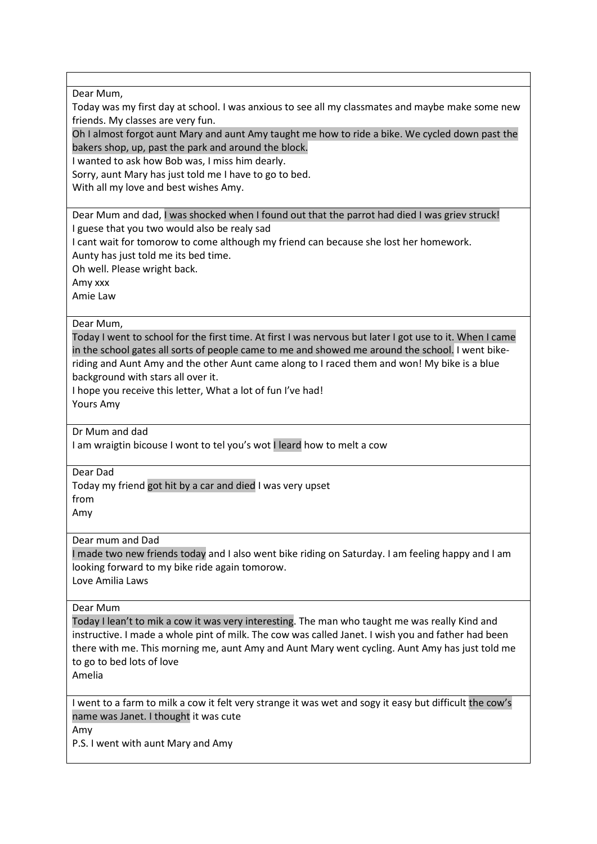Dear Mum, Today was my first day at school. I was anxious to see all my classmates and maybe make some new friends. My classes are very fun. Oh I almost forgot aunt Mary and aunt Amy taught me how to ride a bike. We cycled down past the bakers shop, up, past the park and around the block. I wanted to ask how Bob was, I miss him dearly. Sorry, aunt Mary has just told me I have to go to bed. With all my love and best wishes Amy. Dear Mum and dad, I was shocked when I found out that the parrot had died I was griev struck! I guese that you two would also be realy sad I cant wait for tomorow to come although my friend can because she lost her homework. Aunty has just told me its bed time. Oh well. Please wright back. Amy xxx Amie Law Dear Mum, Today I went to school for the first time. At first I was nervous but later I got use to it. When I came in the school gates all sorts of people came to me and showed me around the school. I went bikeriding and Aunt Amy and the other Aunt came along to I raced them and won! My bike is a blue background with stars all over it. I hope you receive this letter, What a lot of fun I've had! Yours Amy Dr Mum and dad I am wraigtin bicouse I wont to tel you's wot I leard how to melt a cow Dear Dad Today my friend got hit by a car and died I was very upset from Amy Dear mum and Dad I made two new friends today and I also went bike riding on Saturday. I am feeling happy and I am looking forward to my bike ride again tomorow. Love Amilia Laws Dear Mum Today I lean't to mik a cow it was very interesting. The man who taught me was really Kind and instructive. I made a whole pint of milk. The cow was called Janet. I wish you and father had been there with me. This morning me, aunt Amy and Aunt Mary went cycling. Aunt Amy has just told me to go to bed lots of love Amelia I went to a farm to milk a cow it felt very strange it was wet and sogy it easy but difficult the cow's name was Janet. I thought it was cute Amy P.S. I went with aunt Mary and Amy